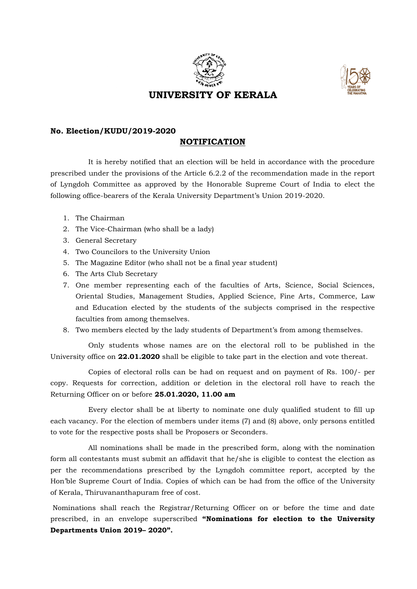



## **No. Election/KUDU/2019-2020**

## **NOTIFICATION**

It is hereby notified that an election will be held in accordance with the procedure prescribed under the provisions of the Article 6.2.2 of the recommendation made in the report of Lyngdoh Committee as approved by the Honorable Supreme Court of India to elect the following office-bearers of the Kerala University Department's Union 2019-2020.

- 1. The Chairman
- 2. The Vice-Chairman (who shall be a lady)
- 3. General Secretary
- 4. Two Councilors to the University Union
- 5. The Magazine Editor (who shall not be a final year student)
- 6. The Arts Club Secretary
- 7. One member representing each of the faculties of Arts, Science, Social Sciences, Oriental Studies, Management Studies, Applied Science, Fine Arts, Commerce, Law and Education elected by the students of the subjects comprised in the respective faculties from among themselves.
- 8. Two members elected by the lady students of Department's from among themselves.

Only students whose names are on the electoral roll to be published in the University office on **22.01.2020** shall be eligible to take part in the election and vote thereat.

Copies of electoral rolls can be had on request and on payment of Rs. 100/- per copy. Requests for correction, addition or deletion in the electoral roll have to reach the Returning Officer on or before **25.01.2020, 11.00 am**

Every elector shall be at liberty to nominate one duly qualified student to fill up each vacancy. For the election of members under items (7) and (8) above, only persons entitled to vote for the respective posts shall be Proposers or Seconders.

All nominations shall be made in the prescribed form, along with the nomination form all contestants must submit an affidavit that he/she is eligible to contest the election as per the recommendations prescribed by the Lyngdoh committee report, accepted by the Hon'ble Supreme Court of India. Copies of which can be had from the office of the University of Kerala, Thiruvananthapuram free of cost.

Nominations shall reach the Registrar/Returning Officer on or before the time and date prescribed, in an envelope superscribed **"Nominations for election to the University Departments Union 2019– 2020".**